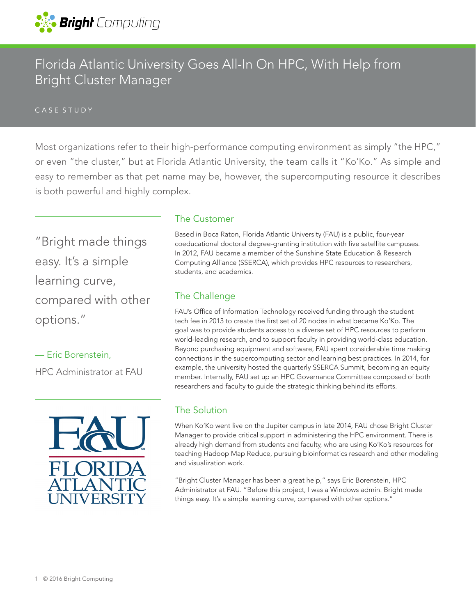

# Florida Atlantic University Goes All-In On HPC, With Help from Bright Cluster Manager

#### CASE STUDY

Most organizations refer to their high-performance computing environment as simply "the HPC," or even "the cluster," but at Florida Atlantic University, the team calls it "Ko'Ko." As simple and easy to remember as that pet name may be, however, the supercomputing resource it describes is both powerful and highly complex.

"Bright made things easy. It's a simple learning curve, compared with other options."

— Eric Borenstein, HPC Administrator at FAU



### The Customer

Based in Boca Raton, Florida Atlantic University (FAU) is a public, four-year coeducational doctoral degree-granting institution with five satellite campuses. In 2012, FAU became a member of the Sunshine State Education & Research Computing Alliance (SSERCA), which provides HPC resources to researchers, students, and academics.

### The Challenge

FAU's Office of Information Technology received funding through the student tech fee in 2013 to create the first set of 20 nodes in what became Ko'Ko. The goal was to provide students access to a diverse set of HPC resources to perform world-leading research, and to support faculty in providing world-class education. Beyond purchasing equipment and software, FAU spent considerable time making connections in the supercomputing sector and learning best practices. In 2014, for example, the university hosted the quarterly SSERCA Summit, becoming an equity member. Internally, FAU set up an HPC Governance Committee composed of both researchers and faculty to guide the strategic thinking behind its efforts.

#### The Solution

When Ko'Ko went live on the Jupiter campus in late 2014, FAU chose Bright Cluster Manager to provide critical support in administering the HPC environment. There is already high demand from students and faculty, who are using Ko'Ko's resources for teaching Hadoop Map Reduce, pursuing bioinformatics research and other modeling and visualization work.

"Bright Cluster Manager has been a great help," says Eric Borenstein, HPC Administrator at FAU. "Before this project, I was a Windows admin. Bright made things easy. It's a simple learning curve, compared with other options."